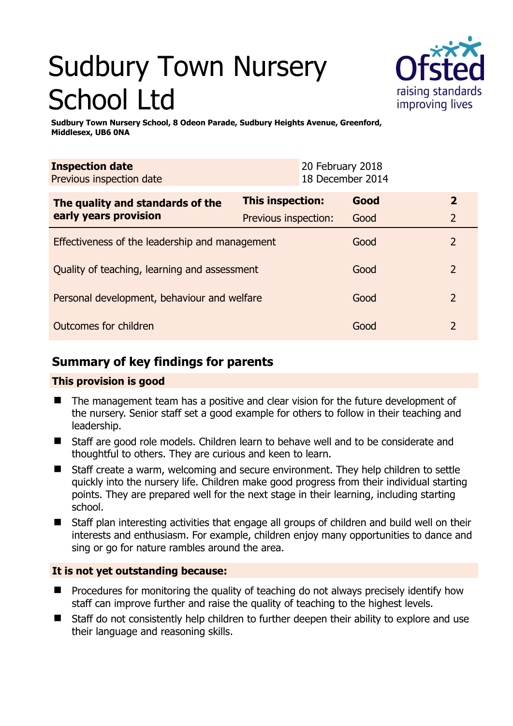# Sudbury Town Nursery School Ltd



**Sudbury Town Nursery School, 8 Odeon Parade, Sudbury Heights Avenue, Greenford, Middlesex, UB6 0NA** 

| <b>Inspection date</b><br>Previous inspection date        |                      | 20 February 2018<br>18 December 2014 |      |                |
|-----------------------------------------------------------|----------------------|--------------------------------------|------|----------------|
| The quality and standards of the<br>early years provision | This inspection:     |                                      | Good |                |
|                                                           | Previous inspection: |                                      | Good | $\overline{2}$ |
| Effectiveness of the leadership and management            |                      |                                      | Good | 2              |
| Quality of teaching, learning and assessment              |                      |                                      | Good | $\overline{2}$ |
| Personal development, behaviour and welfare               |                      |                                      | Good | 2              |
| Outcomes for children                                     |                      |                                      | Good |                |

# **Summary of key findings for parents**

# **This provision is good**

- The management team has a positive and clear vision for the future development of the nursery. Senior staff set a good example for others to follow in their teaching and leadership.
- Staff are good role models. Children learn to behave well and to be considerate and thoughtful to others. They are curious and keen to learn.
- Staff create a warm, welcoming and secure environment. They help children to settle quickly into the nursery life. Children make good progress from their individual starting points. They are prepared well for the next stage in their learning, including starting school.
- Staff plan interesting activities that engage all groups of children and build well on their interests and enthusiasm. For example, children enjoy many opportunities to dance and sing or go for nature rambles around the area.

# **It is not yet outstanding because:**

- Procedures for monitoring the quality of teaching do not always precisely identify how staff can improve further and raise the quality of teaching to the highest levels.
- Staff do not consistently help children to further deepen their ability to explore and use their language and reasoning skills.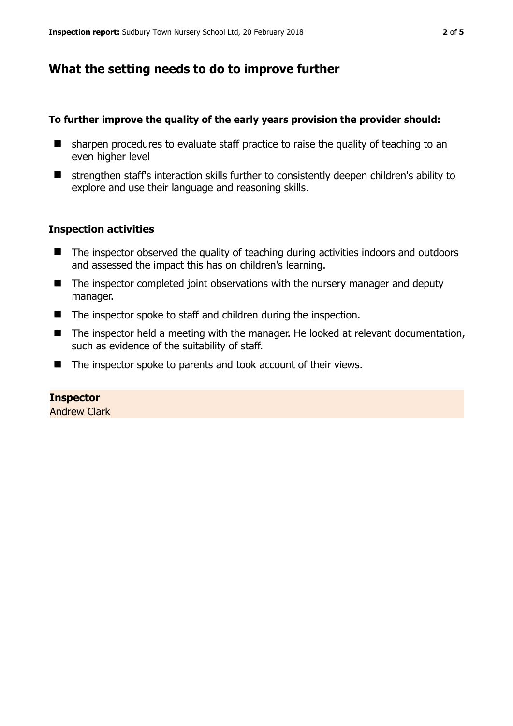# **What the setting needs to do to improve further**

#### **To further improve the quality of the early years provision the provider should:**

- $\blacksquare$  sharpen procedures to evaluate staff practice to raise the quality of teaching to an even higher level
- strengthen staff's interaction skills further to consistently deepen children's ability to explore and use their language and reasoning skills.

#### **Inspection activities**

- The inspector observed the quality of teaching during activities indoors and outdoors and assessed the impact this has on children's learning.
- The inspector completed joint observations with the nursery manager and deputy manager.
- The inspector spoke to staff and children during the inspection.
- The inspector held a meeting with the manager. He looked at relevant documentation, such as evidence of the suitability of staff.
- The inspector spoke to parents and took account of their views.

#### **Inspector**

Andrew Clark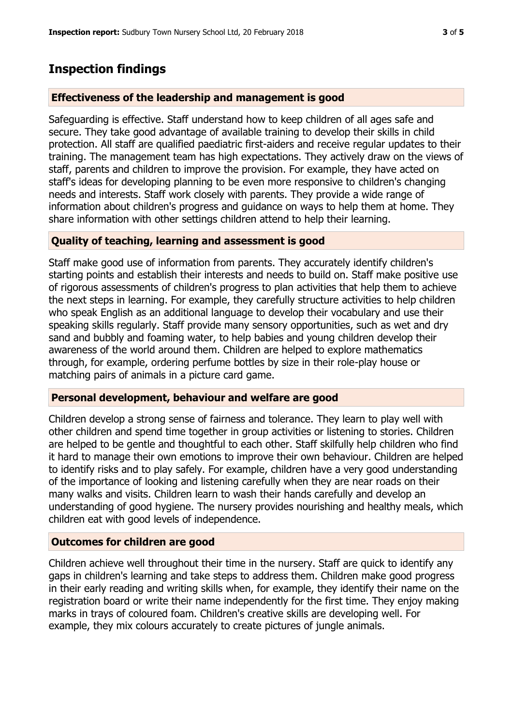# **Inspection findings**

## **Effectiveness of the leadership and management is good**

Safeguarding is effective. Staff understand how to keep children of all ages safe and secure. They take good advantage of available training to develop their skills in child protection. All staff are qualified paediatric first-aiders and receive regular updates to their training. The management team has high expectations. They actively draw on the views of staff, parents and children to improve the provision. For example, they have acted on staff's ideas for developing planning to be even more responsive to children's changing needs and interests. Staff work closely with parents. They provide a wide range of information about children's progress and guidance on ways to help them at home. They share information with other settings children attend to help their learning.

## **Quality of teaching, learning and assessment is good**

Staff make good use of information from parents. They accurately identify children's starting points and establish their interests and needs to build on. Staff make positive use of rigorous assessments of children's progress to plan activities that help them to achieve the next steps in learning. For example, they carefully structure activities to help children who speak English as an additional language to develop their vocabulary and use their speaking skills regularly. Staff provide many sensory opportunities, such as wet and dry sand and bubbly and foaming water, to help babies and young children develop their awareness of the world around them. Children are helped to explore mathematics through, for example, ordering perfume bottles by size in their role-play house or matching pairs of animals in a picture card game.

## **Personal development, behaviour and welfare are good**

Children develop a strong sense of fairness and tolerance. They learn to play well with other children and spend time together in group activities or listening to stories. Children are helped to be gentle and thoughtful to each other. Staff skilfully help children who find it hard to manage their own emotions to improve their own behaviour. Children are helped to identify risks and to play safely. For example, children have a very good understanding of the importance of looking and listening carefully when they are near roads on their many walks and visits. Children learn to wash their hands carefully and develop an understanding of good hygiene. The nursery provides nourishing and healthy meals, which children eat with good levels of independence.

## **Outcomes for children are good**

Children achieve well throughout their time in the nursery. Staff are quick to identify any gaps in children's learning and take steps to address them. Children make good progress in their early reading and writing skills when, for example, they identify their name on the registration board or write their name independently for the first time. They enjoy making marks in trays of coloured foam. Children's creative skills are developing well. For example, they mix colours accurately to create pictures of jungle animals.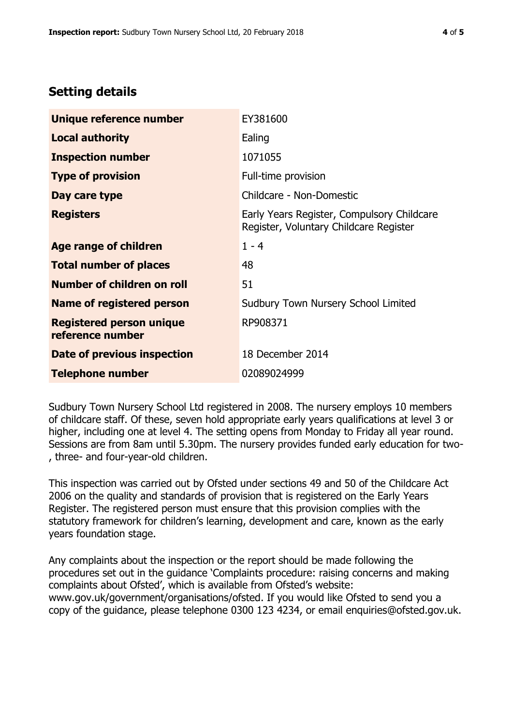# **Setting details**

| Unique reference number                             | EY381600                                                                             |  |
|-----------------------------------------------------|--------------------------------------------------------------------------------------|--|
| <b>Local authority</b>                              | Ealing                                                                               |  |
| <b>Inspection number</b>                            | 1071055                                                                              |  |
| <b>Type of provision</b>                            | Full-time provision                                                                  |  |
| Day care type                                       | Childcare - Non-Domestic                                                             |  |
| <b>Registers</b>                                    | Early Years Register, Compulsory Childcare<br>Register, Voluntary Childcare Register |  |
| Age range of children                               | $1 - 4$                                                                              |  |
| <b>Total number of places</b>                       | 48                                                                                   |  |
| <b>Number of children on roll</b>                   | 51                                                                                   |  |
| Name of registered person                           | Sudbury Town Nursery School Limited                                                  |  |
| <b>Registered person unique</b><br>reference number | RP908371                                                                             |  |
| Date of previous inspection                         | 18 December 2014                                                                     |  |
| <b>Telephone number</b>                             | 02089024999                                                                          |  |

Sudbury Town Nursery School Ltd registered in 2008. The nursery employs 10 members of childcare staff. Of these, seven hold appropriate early years qualifications at level 3 or higher, including one at level 4. The setting opens from Monday to Friday all year round. Sessions are from 8am until 5.30pm. The nursery provides funded early education for two- , three- and four-year-old children.

This inspection was carried out by Ofsted under sections 49 and 50 of the Childcare Act 2006 on the quality and standards of provision that is registered on the Early Years Register. The registered person must ensure that this provision complies with the statutory framework for children's learning, development and care, known as the early years foundation stage.

Any complaints about the inspection or the report should be made following the procedures set out in the guidance 'Complaints procedure: raising concerns and making complaints about Ofsted', which is available from Ofsted's website: www.gov.uk/government/organisations/ofsted. If you would like Ofsted to send you a copy of the guidance, please telephone 0300 123 4234, or email enquiries@ofsted.gov.uk.